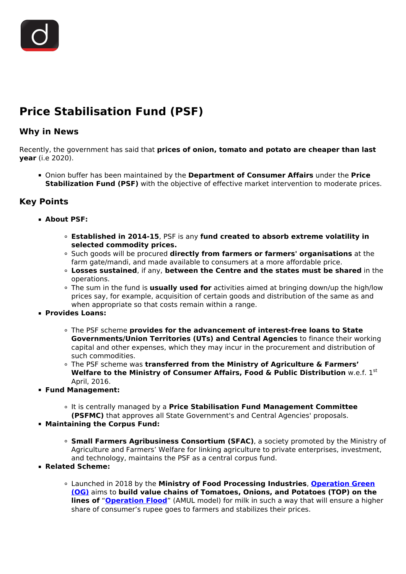## **Price Stabilisation Fund (PSF)**

## **Why in News**

Recently, the government has said that **prices of onion, tomato and potato are cheaper than last year** (i.e 2020).

Onion buffer has been maintained by the **Department of Consumer Affairs** under the **Price Stabilization Fund (PSF)** with the objective of effective market intervention to moderate prices.

## **Key Points**

- **About PSF:**
	- **Established in 2014-15**, PSF is any **fund created to absorb extreme volatility in selected commodity prices.**
	- Such goods will be procured **directly from farmers or farmers' organisations** at the farm gate/mandi, and made available to consumers at a more affordable price.
	- **Losses sustained**, if any, **between the Centre and the states must be shared** in the operations.
	- The sum in the fund is **usually used for** activities aimed at bringing down/up the high/low prices say, for example, acquisition of certain goods and distribution of the same as and when appropriate so that costs remain within a range.
- **Provides Loans:**
	- The PSF scheme **provides for the advancement of interest-free loans to State Governments/Union Territories (UTs) and Central Agencies** to finance their working capital and other expenses, which they may incur in the procurement and distribution of such commodities.
	- The PSF scheme was **transferred from the Ministry of Agriculture & Farmers' Welfare to the Ministry of Consumer Affairs, Food & Public Distribution** w.e.f. 1<sup>st</sup> April, 2016.
- **Fund Management:**
	- It is centrally managed by a **Price Stabilisation Fund Management Committee**
	- **(PSFMC)** that approves all State Government's and Central Agencies' proposals.
- **Maintaining the Corpus Fund:**
	- **Small Farmers Agribusiness Consortium (SFAC)**, a society promoted by the Ministry of Agriculture and Farmers' Welfare for linking agriculture to private enterprises, investment, and technology, maintains the PSF as a central corpus fund.
- **Related Scheme:**
	- Launched in 2018 by the **Ministry of Food Processing Industries**, **[Operation Green](/to-the-points/paper3/operation-greens-ttp-1-1) [\(OG\)](/to-the-points/paper3/operation-greens-ttp-1-1)** aims to **build value chains of Tomatoes, Onions, and Potatoes (TOP) on the lines of "[Operation Flood](/daily-updates/daily-news-editorials/operation-green-flood)"** (AMUL model) for milk in such a way that will ensure a higher share of consumer's rupee goes to farmers and stabilizes their prices.